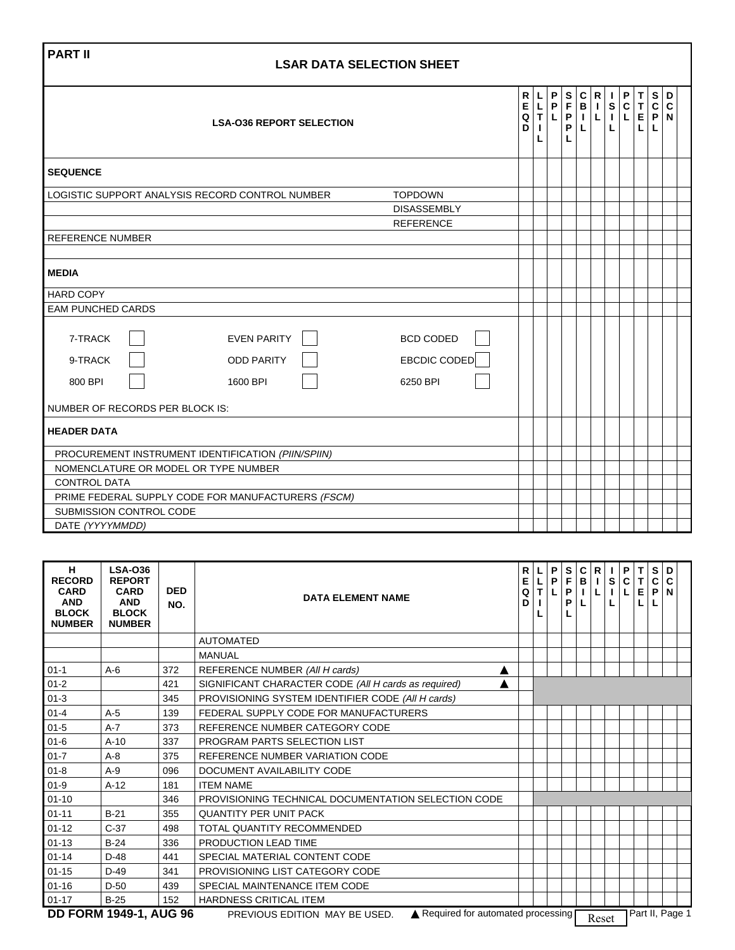| <b>PART II</b><br><b>LSAR DATA SELECTION SHEET</b>                                                |  |                                     |                                  |                                                                                       |                       |                  |                                              |                   |                                    |                                            |                |                       |  |
|---------------------------------------------------------------------------------------------------|--|-------------------------------------|----------------------------------|---------------------------------------------------------------------------------------|-----------------------|------------------|----------------------------------------------|-------------------|------------------------------------|--------------------------------------------|----------------|-----------------------|--|
| <b>LSA-036 REPORT SELECTION</b>                                                                   |  | R<br>$\mathbf{E}_{\mathbf{Q}}$<br>D | $\mathsf T$<br>$\mathbf{L}$<br>L | $\begin{array}{c c c c c} L & P & S & C \\ L & P & F & B \end{array}$<br>$\mathsf{L}$ | $\mathsf P$<br>P<br>L | $\mathbf I$<br>L | $R$   I<br>$\blacksquare$<br>$L \parallel 1$ | $\mathbf{s}$<br>L | $\mathsf P$<br>$\overline{c}$<br>Ĺ | T<br>$T$ $\overline{C}$<br>$E \mid P$<br>Г | ${\bf s}$<br>L | D<br>C<br>$\mathbf N$ |  |
| <b>SEQUENCE</b>                                                                                   |  |                                     |                                  |                                                                                       |                       |                  |                                              |                   |                                    |                                            |                |                       |  |
| LOGISTIC SUPPORT ANALYSIS RECORD CONTROL NUMBER<br><b>TOPDOWN</b>                                 |  |                                     |                                  |                                                                                       |                       |                  |                                              |                   |                                    |                                            |                |                       |  |
| <b>DISASSEMBLY</b>                                                                                |  |                                     |                                  |                                                                                       |                       |                  |                                              |                   |                                    |                                            |                |                       |  |
| <b>REFERENCE</b>                                                                                  |  |                                     |                                  |                                                                                       |                       |                  |                                              |                   |                                    |                                            |                |                       |  |
| <b>REFERENCE NUMBER</b>                                                                           |  |                                     |                                  |                                                                                       |                       |                  |                                              |                   |                                    |                                            |                |                       |  |
|                                                                                                   |  |                                     |                                  |                                                                                       |                       |                  |                                              |                   |                                    |                                            |                |                       |  |
| <b>MEDIA</b>                                                                                      |  |                                     |                                  |                                                                                       |                       |                  |                                              |                   |                                    |                                            |                |                       |  |
| <b>HARD COPY</b>                                                                                  |  |                                     |                                  |                                                                                       |                       |                  |                                              |                   |                                    |                                            |                |                       |  |
| <b>EAM PUNCHED CARDS</b>                                                                          |  |                                     |                                  |                                                                                       |                       |                  |                                              |                   |                                    |                                            |                |                       |  |
| <b>BCD CODED</b><br>7-TRACK<br><b>EVEN PARITY</b><br>EBCDIC CODED<br>9-TRACK<br><b>ODD PARITY</b> |  |                                     |                                  |                                                                                       |                       |                  |                                              |                   |                                    |                                            |                |                       |  |
| 800 BPI<br>1600 BPI<br>6250 BPI<br>NUMBER OF RECORDS PER BLOCK IS:                                |  |                                     |                                  |                                                                                       |                       |                  |                                              |                   |                                    |                                            |                |                       |  |
| <b>HEADER DATA</b>                                                                                |  |                                     |                                  |                                                                                       |                       |                  |                                              |                   |                                    |                                            |                |                       |  |
| PROCUREMENT INSTRUMENT IDENTIFICATION (PIIN/SPIIN)                                                |  |                                     |                                  |                                                                                       |                       |                  |                                              |                   |                                    |                                            |                |                       |  |
| NOMENCLATURE OR MODEL OR TYPE NUMBER                                                              |  |                                     |                                  |                                                                                       |                       |                  |                                              |                   |                                    |                                            |                |                       |  |
| <b>CONTROL DATA</b>                                                                               |  |                                     |                                  |                                                                                       |                       |                  |                                              |                   |                                    |                                            |                |                       |  |
| PRIME FEDERAL SUPPLY CODE FOR MANUFACTURERS (FSCM)                                                |  |                                     |                                  |                                                                                       |                       |                  |                                              |                   |                                    |                                            |                |                       |  |
| SUBMISSION CONTROL CODE                                                                           |  |                                     |                                  |                                                                                       |                       |                  |                                              |                   |                                    |                                            |                |                       |  |
| DATE (YYYYMMDD)                                                                                   |  |                                     |                                  |                                                                                       |                       |                  |                                              |                   |                                    |                                            |                |                       |  |

| н<br><b>RECORD</b><br><b>CARD</b><br><b>AND</b><br><b>BLOCK</b><br><b>NUMBER</b>                                                  | <b>LSA-036</b><br><b>REPORT</b><br><b>CARD</b><br><b>AND</b><br><b>BLOCK</b><br><b>NUMBER</b> | <b>DED</b><br>NO. | <b>DATA ELEMENT NAME</b>                             | R<br>E<br>Q<br>D | L<br>T | P<br>P<br>г | S<br>F<br>P<br>P<br>L | С<br>В | R<br>т | S | P<br>C | т<br>$\mathsf T$<br>E<br>L | s<br>C<br>P | D<br>$\mathbf c$<br>N |  |
|-----------------------------------------------------------------------------------------------------------------------------------|-----------------------------------------------------------------------------------------------|-------------------|------------------------------------------------------|------------------|--------|-------------|-----------------------|--------|--------|---|--------|----------------------------|-------------|-----------------------|--|
|                                                                                                                                   |                                                                                               |                   | <b>AUTOMATED</b>                                     |                  |        |             |                       |        |        |   |        |                            |             |                       |  |
|                                                                                                                                   |                                                                                               |                   | <b>MANUAL</b>                                        |                  |        |             |                       |        |        |   |        |                            |             |                       |  |
| $01 - 1$                                                                                                                          | $A-6$                                                                                         | 372               | REFERENCE NUMBER (All H cards)                       |                  |        |             |                       |        |        |   |        |                            |             |                       |  |
| $01 - 2$                                                                                                                          |                                                                                               | 421               | SIGNIFICANT CHARACTER CODE (All H cards as required) |                  |        |             |                       |        |        |   |        |                            |             |                       |  |
| $01 - 3$                                                                                                                          |                                                                                               | 345               | PROVISIONING SYSTEM IDENTIFIER CODE (All H cards)    |                  |        |             |                       |        |        |   |        |                            |             |                       |  |
| $01 - 4$                                                                                                                          | $A-5$                                                                                         | 139               | FEDERAL SUPPLY CODE FOR MANUFACTURERS                |                  |        |             |                       |        |        |   |        |                            |             |                       |  |
| $01 - 5$                                                                                                                          | $A - 7$                                                                                       | 373               | REFERENCE NUMBER CATEGORY CODE                       |                  |        |             |                       |        |        |   |        |                            |             |                       |  |
| $01 - 6$                                                                                                                          | $A-10$                                                                                        | 337               | PROGRAM PARTS SELECTION LIST                         |                  |        |             |                       |        |        |   |        |                            |             |                       |  |
| $01 - 7$                                                                                                                          | $A-8$                                                                                         | 375               | REFERENCE NUMBER VARIATION CODE                      |                  |        |             |                       |        |        |   |        |                            |             |                       |  |
| $01 - 8$                                                                                                                          | $A-9$                                                                                         | 096               | DOCUMENT AVAILABILITY CODE                           |                  |        |             |                       |        |        |   |        |                            |             |                       |  |
| $01 - 9$                                                                                                                          | $A-12$                                                                                        | 181               | <b>ITEM NAME</b>                                     |                  |        |             |                       |        |        |   |        |                            |             |                       |  |
| $01 - 10$                                                                                                                         |                                                                                               | 346               | PROVISIONING TECHNICAL DOCUMENTATION SELECTION CODE  |                  |        |             |                       |        |        |   |        |                            |             |                       |  |
| $01 - 11$                                                                                                                         | $B-21$                                                                                        | 355               | <b>QUANTITY PER UNIT PACK</b>                        |                  |        |             |                       |        |        |   |        |                            |             |                       |  |
| $01 - 12$                                                                                                                         | $C-37$                                                                                        | 498               | TOTAL QUANTITY RECOMMENDED                           |                  |        |             |                       |        |        |   |        |                            |             |                       |  |
| $01 - 13$                                                                                                                         | $B-24$                                                                                        | 336               | PRODUCTION LEAD TIME                                 |                  |        |             |                       |        |        |   |        |                            |             |                       |  |
| $01 - 14$                                                                                                                         | $D-48$                                                                                        | 441               | SPECIAL MATERIAL CONTENT CODE                        |                  |        |             |                       |        |        |   |        |                            |             |                       |  |
| $01 - 15$                                                                                                                         | $D-49$                                                                                        | 341               | PROVISIONING LIST CATEGORY CODE                      |                  |        |             |                       |        |        |   |        |                            |             |                       |  |
| $01 - 16$                                                                                                                         | $D-50$                                                                                        | 439               | SPECIAL MAINTENANCE ITEM CODE                        |                  |        |             |                       |        |        |   |        |                            |             |                       |  |
| $01 - 17$                                                                                                                         | $B-25$                                                                                        | 152               | <b>HARDNESS CRITICAL ITEM</b>                        |                  |        |             |                       |        |        |   |        |                            |             |                       |  |
| <b>DD FORM 1949-1, AUG 96</b><br>▲ Required for automated processing<br>Part II, Page 1<br>PREVIOUS EDITION MAY BE USED.<br>Reset |                                                                                               |                   |                                                      |                  |        |             |                       |        |        |   |        |                            |             |                       |  |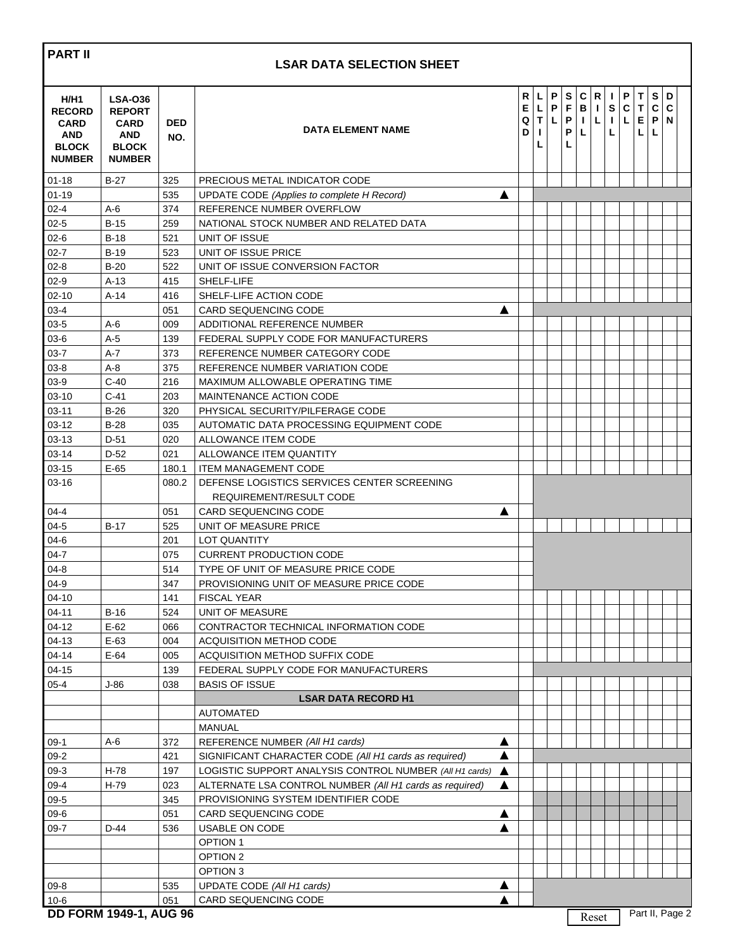| <b>PART II</b><br><b>LSAR DATA SELECTION SHEET</b>                                  |                                                                                               |                   |                                                              |                  |                        |             |                       |                         |                        |                             |              |                                                |                  |             |  |
|-------------------------------------------------------------------------------------|-----------------------------------------------------------------------------------------------|-------------------|--------------------------------------------------------------|------------------|------------------------|-------------|-----------------------|-------------------------|------------------------|-----------------------------|--------------|------------------------------------------------|------------------|-------------|--|
| <b>H/H1</b><br><b>RECORD</b><br><b>CARD</b><br>AND<br><b>BLOCK</b><br><b>NUMBER</b> | <b>LSA-036</b><br><b>REPORT</b><br><b>CARD</b><br><b>AND</b><br><b>BLOCK</b><br><b>NUMBER</b> | <b>DED</b><br>NO. | <b>DATA ELEMENT NAME</b>                                     | R<br>Е<br>Q<br>D | L.<br>L<br>T<br>т<br>L | P<br>P<br>Г | S<br>F<br>P<br>P<br>L | $\mathbf{C}$<br>В<br>Τ. | R<br>$\mathbf{I}$<br>L | $\mathbf{I}$<br>s<br>T<br>L | P<br>C<br>L. | $\mathbf T$<br>$\mathbf T$<br>$\mathsf E$<br>г | S<br>C<br>P<br>L | D<br>C<br>N |  |
| $01 - 18$                                                                           | $B-27$                                                                                        | 325               | PRECIOUS METAL INDICATOR CODE                                |                  |                        |             |                       |                         |                        |                             |              |                                                |                  |             |  |
| $01 - 19$                                                                           |                                                                                               | 535               | UPDATE CODE (Applies to complete H Record)<br>A              |                  |                        |             |                       |                         |                        |                             |              |                                                |                  |             |  |
| 02-4                                                                                | $A-6$                                                                                         | 374               | REFERENCE NUMBER OVERFLOW                                    |                  |                        |             |                       |                         |                        |                             |              |                                                |                  |             |  |
| $02-5$                                                                              | $B-15$                                                                                        | 259               | NATIONAL STOCK NUMBER AND RELATED DATA                       |                  |                        |             |                       |                         |                        |                             |              |                                                |                  |             |  |
| 02-6                                                                                | $B-18$                                                                                        | 521               | UNIT OF ISSUE                                                |                  |                        |             |                       |                         |                        |                             |              |                                                |                  |             |  |
| $02 - 7$                                                                            | $B-19$                                                                                        | 523               | UNIT OF ISSUE PRICE                                          |                  |                        |             |                       |                         |                        |                             |              |                                                |                  |             |  |
| $02-8$                                                                              | $B-20$                                                                                        | 522               | UNIT OF ISSUE CONVERSION FACTOR                              |                  |                        |             |                       |                         |                        |                             |              |                                                |                  |             |  |
| 02-9                                                                                | $A-13$                                                                                        | 415               | SHELF-LIFE                                                   |                  |                        |             |                       |                         |                        |                             |              |                                                |                  |             |  |
| 02-10                                                                               | $A-14$                                                                                        | 416               | SHELF-LIFE ACTION CODE                                       |                  |                        |             |                       |                         |                        |                             |              |                                                |                  |             |  |
| 03-4                                                                                |                                                                                               | 051               | <b>CARD SEQUENCING CODE</b><br>A                             |                  |                        |             |                       |                         |                        |                             |              |                                                |                  |             |  |
| 03-5                                                                                | $A-6$                                                                                         | 009               | ADDITIONAL REFERENCE NUMBER                                  |                  |                        |             |                       |                         |                        |                             |              |                                                |                  |             |  |
| 03-6                                                                                | $A-5$                                                                                         | 139               | FEDERAL SUPPLY CODE FOR MANUFACTURERS                        |                  |                        |             |                       |                         |                        |                             |              |                                                |                  |             |  |
| $03 - 7$                                                                            | $A-7$                                                                                         | 373               | REFERENCE NUMBER CATEGORY CODE                               |                  |                        |             |                       |                         |                        |                             |              |                                                |                  |             |  |
| $03-8$                                                                              | $A-8$                                                                                         | 375               | REFERENCE NUMBER VARIATION CODE                              |                  |                        |             |                       |                         |                        |                             |              |                                                |                  |             |  |
| $03-9$                                                                              | $C-40$                                                                                        | 216               | MAXIMUM ALLOWABLE OPERATING TIME                             |                  |                        |             |                       |                         |                        |                             |              |                                                |                  |             |  |
| 03-10                                                                               | $C-41$                                                                                        | 203               | MAINTENANCE ACTION CODE                                      |                  |                        |             |                       |                         |                        |                             |              |                                                |                  |             |  |
| 03-11                                                                               | $B-26$                                                                                        | 320               | PHYSICAL SECURITY/PILFERAGE CODE                             |                  |                        |             |                       |                         |                        |                             |              |                                                |                  |             |  |
| $03 - 12$                                                                           | $B-28$                                                                                        | 035               | AUTOMATIC DATA PROCESSING EQUIPMENT CODE                     |                  |                        |             |                       |                         |                        |                             |              |                                                |                  |             |  |
| 03-13                                                                               | $D-51$                                                                                        | 020               | ALLOWANCE ITEM CODE                                          |                  |                        |             |                       |                         |                        |                             |              |                                                |                  |             |  |
| $03 - 14$                                                                           | $D-52$                                                                                        | 021               | ALLOWANCE ITEM QUANTITY                                      |                  |                        |             |                       |                         |                        |                             |              |                                                |                  |             |  |
| 03-15                                                                               | $E-65$                                                                                        | 180.1             | <b>ITEM MANAGEMENT CODE</b>                                  |                  |                        |             |                       |                         |                        |                             |              |                                                |                  |             |  |
| $03 - 16$                                                                           |                                                                                               | 080.2             | DEFENSE LOGISTICS SERVICES CENTER SCREENING                  |                  |                        |             |                       |                         |                        |                             |              |                                                |                  |             |  |
|                                                                                     |                                                                                               |                   | REQUIREMENT/RESULT CODE                                      |                  |                        |             |                       |                         |                        |                             |              |                                                |                  |             |  |
| 04-4                                                                                |                                                                                               | 051               | <b>CARD SEQUENCING CODE</b><br>▲                             |                  |                        |             |                       |                         |                        |                             |              |                                                |                  |             |  |
| 04-5                                                                                | $B-17$                                                                                        | 525               | UNIT OF MEASURE PRICE                                        |                  |                        |             |                       |                         |                        |                             |              |                                                |                  |             |  |
| 04-6                                                                                |                                                                                               | 201               | LOT QUANTITY                                                 |                  |                        |             |                       |                         |                        |                             |              |                                                |                  |             |  |
| 04-7                                                                                |                                                                                               | 075               | <b>CURRENT PRODUCTION CODE</b>                               |                  |                        |             |                       |                         |                        |                             |              |                                                |                  |             |  |
| 04-8                                                                                |                                                                                               | 514               | TYPE OF UNIT OF MEASURE PRICE CODE                           |                  |                        |             |                       |                         |                        |                             |              |                                                |                  |             |  |
| 04-9                                                                                |                                                                                               | 347               | PROVISIONING UNIT OF MEASURE PRICE CODE                      |                  |                        |             |                       |                         |                        |                             |              |                                                |                  |             |  |
| 04-10                                                                               |                                                                                               | 141               | <b>FISCAL YEAR</b>                                           |                  |                        |             |                       |                         |                        |                             |              |                                                |                  |             |  |
| 04-11                                                                               | $B-16$                                                                                        | 524               | UNIT OF MEASURE                                              |                  |                        |             |                       |                         |                        |                             |              |                                                |                  |             |  |
| 04-12                                                                               | $E-62$                                                                                        | 066               | CONTRACTOR TECHNICAL INFORMATION CODE                        |                  |                        |             |                       |                         |                        |                             |              |                                                |                  |             |  |
| 04-13                                                                               | $E-63$                                                                                        | 004               | <b>ACQUISITION METHOD CODE</b>                               |                  |                        |             |                       |                         |                        |                             |              |                                                |                  |             |  |
| $04 - 14$                                                                           | $E-64$                                                                                        | 005               | ACQUISITION METHOD SUFFIX CODE                               |                  |                        |             |                       |                         |                        |                             |              |                                                |                  |             |  |
| 04-15                                                                               |                                                                                               | 139               | FEDERAL SUPPLY CODE FOR MANUFACTURERS                        |                  |                        |             |                       |                         |                        |                             |              |                                                |                  |             |  |
| $05 - 4$                                                                            | $J-86$                                                                                        | 038               | <b>BASIS OF ISSUE</b>                                        |                  |                        |             |                       |                         |                        |                             |              |                                                |                  |             |  |
|                                                                                     |                                                                                               |                   | <b>LSAR DATA RECORD H1</b>                                   |                  |                        |             |                       |                         |                        |                             |              |                                                |                  |             |  |
|                                                                                     |                                                                                               |                   | <b>AUTOMATED</b>                                             |                  |                        |             |                       |                         |                        |                             |              |                                                |                  |             |  |
|                                                                                     |                                                                                               |                   | MANUAL                                                       |                  |                        |             |                       |                         |                        |                             |              |                                                |                  |             |  |
| 09-1                                                                                | A-6                                                                                           | 372               | REFERENCE NUMBER (All H1 cards)<br>▲                         |                  |                        |             |                       |                         |                        |                             |              |                                                |                  |             |  |
| 09-2                                                                                |                                                                                               | 421               | ▲<br>SIGNIFICANT CHARACTER CODE (All H1 cards as required)   |                  |                        |             |                       |                         |                        |                             |              |                                                |                  |             |  |
| 09-3                                                                                | $H-78$                                                                                        | 197               | LOGISTIC SUPPORT ANALYSIS CONTROL NUMBER (All H1 cards)<br>А |                  |                        |             |                       |                         |                        |                             |              |                                                |                  |             |  |
| 09-4                                                                                | H-79                                                                                          | 023               | ALTERNATE LSA CONTROL NUMBER (All H1 cards as required)<br>▲ |                  |                        |             |                       |                         |                        |                             |              |                                                |                  |             |  |
| 09-5                                                                                |                                                                                               | 345               | PROVISIONING SYSTEM IDENTIFIER CODE                          |                  |                        |             |                       |                         |                        |                             |              |                                                |                  |             |  |
| 09-6                                                                                |                                                                                               | 051               | <b>CARD SEQUENCING CODE</b><br>▲                             |                  |                        |             |                       |                         |                        |                             |              |                                                |                  |             |  |
| 09-7                                                                                | $D-44$                                                                                        | 536               | USABLE ON CODE                                               |                  |                        |             |                       |                         |                        |                             |              |                                                |                  |             |  |
|                                                                                     |                                                                                               |                   | <b>OPTION 1</b>                                              |                  |                        |             |                       |                         |                        |                             |              |                                                |                  |             |  |
|                                                                                     |                                                                                               |                   | OPTION 2                                                     |                  |                        |             |                       |                         |                        |                             |              |                                                |                  |             |  |
|                                                                                     |                                                                                               |                   | OPTION 3                                                     |                  |                        |             |                       |                         |                        |                             |              |                                                |                  |             |  |
| 09-8                                                                                |                                                                                               | 535               | UPDATE CODE (All H1 cards)<br>▲                              |                  |                        |             |                       |                         |                        |                             |              |                                                |                  |             |  |
| 10-6                                                                                |                                                                                               | 051               | CARD SEQUENCING CODE                                         |                  |                        |             |                       |                         |                        |                             |              |                                                |                  |             |  |

Reset Part II, Page 2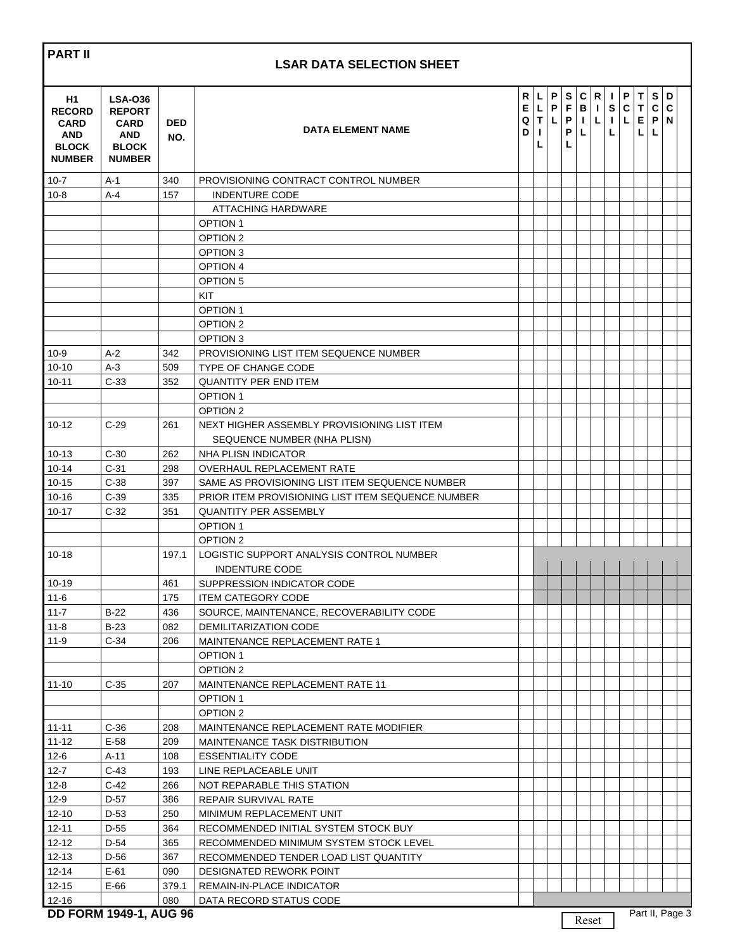| <b>PART II</b><br><b>LSAR DATA SELECTION SHEET</b>                         |                                                                                               |                   |                                                                            |                                    |                                             |                                  |                                            |                                                  |                    |                                   |                                                                                                                                            |                             |                                  |             |  |
|----------------------------------------------------------------------------|-----------------------------------------------------------------------------------------------|-------------------|----------------------------------------------------------------------------|------------------------------------|---------------------------------------------|----------------------------------|--------------------------------------------|--------------------------------------------------|--------------------|-----------------------------------|--------------------------------------------------------------------------------------------------------------------------------------------|-----------------------------|----------------------------------|-------------|--|
| H1<br><b>RECORD</b><br><b>CARD</b><br>AND<br><b>BLOCK</b><br><b>NUMBER</b> | <b>LSA-036</b><br><b>REPORT</b><br><b>CARD</b><br><b>AND</b><br><b>BLOCK</b><br><b>NUMBER</b> | <b>DED</b><br>NO. | <b>DATA ELEMENT NAME</b>                                                   | ${\sf R}$<br>E<br>$\mathbf Q$<br>D | L.<br>L<br>$\mathbf T$<br>$\mathbf{I}$<br>L | P<br>$\mathsf P$<br>$\mathbf{L}$ | $\mathbf{s}$<br>$\mathsf F$<br>P<br>P<br>L | $\mathbf c$<br>$\, {\bf B}$<br>$\mathbf{L}$<br>L | $\mathbf{L}$<br> L | $R$    <br>S<br>$\mathbf{L}$<br>L | $\mathsf P$<br>$\mathbf{C}$<br>$\mathsf{L}% _{0}\left( \mathsf{L}_{0}\right) ^{\ast }=\mathsf{L}_{0}\left( \mathsf{L}_{0}\right) ^{\ast }$ | T<br>$\mathbf T$<br>EP<br>L | $\mathbf{s}$<br>$\mathbf c$<br>L | D<br>C<br>N |  |
| $10 - 7$                                                                   | A-1                                                                                           | 340               | PROVISIONING CONTRACT CONTROL NUMBER                                       |                                    |                                             |                                  |                                            |                                                  |                    |                                   |                                                                                                                                            |                             |                                  |             |  |
| $10 - 8$                                                                   | A-4                                                                                           | 157               | <b>INDENTURE CODE</b>                                                      |                                    |                                             |                                  |                                            |                                                  |                    |                                   |                                                                                                                                            |                             |                                  |             |  |
|                                                                            |                                                                                               |                   | ATTACHING HARDWARE                                                         |                                    |                                             |                                  |                                            |                                                  |                    |                                   |                                                                                                                                            |                             |                                  |             |  |
|                                                                            |                                                                                               |                   | <b>OPTION 1</b>                                                            |                                    |                                             |                                  |                                            |                                                  |                    |                                   |                                                                                                                                            |                             |                                  |             |  |
|                                                                            |                                                                                               |                   | OPTION 2                                                                   |                                    |                                             |                                  |                                            |                                                  |                    |                                   |                                                                                                                                            |                             |                                  |             |  |
|                                                                            |                                                                                               |                   | OPTION 3                                                                   |                                    |                                             |                                  |                                            |                                                  |                    |                                   |                                                                                                                                            |                             |                                  |             |  |
|                                                                            |                                                                                               |                   | <b>OPTION 4</b>                                                            |                                    |                                             |                                  |                                            |                                                  |                    |                                   |                                                                                                                                            |                             |                                  |             |  |
|                                                                            |                                                                                               |                   | OPTION 5<br>KIT                                                            |                                    |                                             |                                  |                                            |                                                  |                    |                                   |                                                                                                                                            |                             |                                  |             |  |
|                                                                            |                                                                                               |                   | <b>OPTION 1</b>                                                            |                                    |                                             |                                  |                                            |                                                  |                    |                                   |                                                                                                                                            |                             |                                  |             |  |
|                                                                            |                                                                                               |                   | OPTION 2                                                                   |                                    |                                             |                                  |                                            |                                                  |                    |                                   |                                                                                                                                            |                             |                                  |             |  |
|                                                                            |                                                                                               |                   | OPTION 3                                                                   |                                    |                                             |                                  |                                            |                                                  |                    |                                   |                                                                                                                                            |                             |                                  |             |  |
| $10-9$                                                                     | $A-2$                                                                                         | 342               | PROVISIONING LIST ITEM SEQUENCE NUMBER                                     |                                    |                                             |                                  |                                            |                                                  |                    |                                   |                                                                                                                                            |                             |                                  |             |  |
| $10 - 10$                                                                  | $A-3$                                                                                         | 509               | TYPE OF CHANGE CODE                                                        |                                    |                                             |                                  |                                            |                                                  |                    |                                   |                                                                                                                                            |                             |                                  |             |  |
| $10 - 11$                                                                  | $C-33$                                                                                        | 352               | <b>QUANTITY PER END ITEM</b>                                               |                                    |                                             |                                  |                                            |                                                  |                    |                                   |                                                                                                                                            |                             |                                  |             |  |
|                                                                            |                                                                                               |                   | <b>OPTION 1</b>                                                            |                                    |                                             |                                  |                                            |                                                  |                    |                                   |                                                                                                                                            |                             |                                  |             |  |
|                                                                            |                                                                                               |                   | OPTION 2                                                                   |                                    |                                             |                                  |                                            |                                                  |                    |                                   |                                                                                                                                            |                             |                                  |             |  |
| $10 - 12$                                                                  | $C-29$                                                                                        | 261               | NEXT HIGHER ASSEMBLY PROVISIONING LIST ITEM<br>SEQUENCE NUMBER (NHA PLISN) |                                    |                                             |                                  |                                            |                                                  |                    |                                   |                                                                                                                                            |                             |                                  |             |  |
| $10 - 13$                                                                  | $C-30$                                                                                        | 262               | NHA PLISN INDICATOR                                                        |                                    |                                             |                                  |                                            |                                                  |                    |                                   |                                                                                                                                            |                             |                                  |             |  |
| $10 - 14$                                                                  | $C-31$                                                                                        | 298               | <b>OVERHAUL REPLACEMENT RATE</b>                                           |                                    |                                             |                                  |                                            |                                                  |                    |                                   |                                                                                                                                            |                             |                                  |             |  |
| $10 - 15$                                                                  | $C-38$                                                                                        | 397               | SAME AS PROVISIONING LIST ITEM SEQUENCE NUMBER                             |                                    |                                             |                                  |                                            |                                                  |                    |                                   |                                                                                                                                            |                             |                                  |             |  |
| $10 - 16$                                                                  | $C-39$                                                                                        | 335               | PRIOR ITEM PROVISIONING LIST ITEM SEQUENCE NUMBER                          |                                    |                                             |                                  |                                            |                                                  |                    |                                   |                                                                                                                                            |                             |                                  |             |  |
| $10 - 17$                                                                  | $C-32$                                                                                        | 351               | <b>QUANTITY PER ASSEMBLY</b>                                               |                                    |                                             |                                  |                                            |                                                  |                    |                                   |                                                                                                                                            |                             |                                  |             |  |
|                                                                            |                                                                                               |                   | <b>OPTION 1</b><br>OPTION 2                                                |                                    |                                             |                                  |                                            |                                                  |                    |                                   |                                                                                                                                            |                             |                                  |             |  |
| $10 - 18$                                                                  |                                                                                               | 197.1             | LOGISTIC SUPPORT ANALYSIS CONTROL NUMBER                                   |                                    |                                             |                                  |                                            |                                                  |                    |                                   |                                                                                                                                            |                             |                                  |             |  |
|                                                                            |                                                                                               |                   | <b>INDENTURE CODE</b>                                                      |                                    |                                             |                                  |                                            |                                                  |                    |                                   |                                                                                                                                            |                             |                                  |             |  |
| 10-19                                                                      |                                                                                               | 461               | SUPPRESSION INDICATOR CODE                                                 |                                    |                                             |                                  |                                            |                                                  |                    |                                   |                                                                                                                                            |                             |                                  |             |  |
| $11 - 6$                                                                   |                                                                                               | 175               | <b>ITEM CATEGORY CODE</b>                                                  |                                    |                                             |                                  |                                            |                                                  |                    |                                   |                                                                                                                                            |                             |                                  |             |  |
| $11 - 7$                                                                   | $B-22$                                                                                        | 436               | SOURCE, MAINTENANCE, RECOVERABILITY CODE                                   |                                    |                                             |                                  |                                            |                                                  |                    |                                   |                                                                                                                                            |                             |                                  |             |  |
| $11 - 8$                                                                   | $B-23$                                                                                        | 082               | DEMILITARIZATION CODE                                                      |                                    |                                             |                                  |                                            |                                                  |                    |                                   |                                                                                                                                            |                             |                                  |             |  |
| $11 - 9$                                                                   | $C-34$                                                                                        | 206               | MAINTENANCE REPLACEMENT RATE 1                                             |                                    |                                             |                                  |                                            |                                                  |                    |                                   |                                                                                                                                            |                             |                                  |             |  |
|                                                                            |                                                                                               |                   | <b>OPTION 1</b>                                                            |                                    |                                             |                                  |                                            |                                                  |                    |                                   |                                                                                                                                            |                             |                                  |             |  |
|                                                                            |                                                                                               |                   | OPTION 2<br>MAINTENANCE REPLACEMENT RATE 11                                |                                    |                                             |                                  |                                            |                                                  |                    |                                   |                                                                                                                                            |                             |                                  |             |  |
| $11 - 10$                                                                  | $C-35$                                                                                        | 207               | <b>OPTION 1</b>                                                            |                                    |                                             |                                  |                                            |                                                  |                    |                                   |                                                                                                                                            |                             |                                  |             |  |
|                                                                            |                                                                                               |                   | OPTION 2                                                                   |                                    |                                             |                                  |                                            |                                                  |                    |                                   |                                                                                                                                            |                             |                                  |             |  |
| $11 - 11$                                                                  | $C-36$                                                                                        | 208               | MAINTENANCE REPLACEMENT RATE MODIFIER                                      |                                    |                                             |                                  |                                            |                                                  |                    |                                   |                                                                                                                                            |                             |                                  |             |  |
| $11 - 12$                                                                  | $E-58$                                                                                        | 209               | MAINTENANCE TASK DISTRIBUTION                                              |                                    |                                             |                                  |                                            |                                                  |                    |                                   |                                                                                                                                            |                             |                                  |             |  |
| $12-6$                                                                     | A-11                                                                                          | 108               | <b>ESSENTIALITY CODE</b>                                                   |                                    |                                             |                                  |                                            |                                                  |                    |                                   |                                                                                                                                            |                             |                                  |             |  |
| 12-7                                                                       | $C-43$                                                                                        | 193               | LINE REPLACEABLE UNIT                                                      |                                    |                                             |                                  |                                            |                                                  |                    |                                   |                                                                                                                                            |                             |                                  |             |  |
| $12 - 8$                                                                   | $C-42$                                                                                        | 266               | NOT REPARABLE THIS STATION                                                 |                                    |                                             |                                  |                                            |                                                  |                    |                                   |                                                                                                                                            |                             |                                  |             |  |
| $12-9$                                                                     | D-57                                                                                          | 386               | REPAIR SURVIVAL RATE                                                       |                                    |                                             |                                  |                                            |                                                  |                    |                                   |                                                                                                                                            |                             |                                  |             |  |
| $12 - 10$                                                                  | D-53                                                                                          | 250               | MINIMUM REPLACEMENT UNIT                                                   |                                    |                                             |                                  |                                            |                                                  |                    |                                   |                                                                                                                                            |                             |                                  |             |  |
| $12 - 11$                                                                  | D-55                                                                                          | 364               | RECOMMENDED INITIAL SYSTEM STOCK BUY                                       |                                    |                                             |                                  |                                            |                                                  |                    |                                   |                                                                                                                                            |                             |                                  |             |  |
| $12 - 12$                                                                  | D-54                                                                                          | 365               | RECOMMENDED MINIMUM SYSTEM STOCK LEVEL                                     |                                    |                                             |                                  |                                            |                                                  |                    |                                   |                                                                                                                                            |                             |                                  |             |  |
| $12 - 13$                                                                  | D-56                                                                                          | 367               | RECOMMENDED TENDER LOAD LIST QUANTITY                                      |                                    |                                             |                                  |                                            |                                                  |                    |                                   |                                                                                                                                            |                             |                                  |             |  |
| 12-14<br>$12 - 15$                                                         | E-61<br>$E-66$                                                                                | 090<br>379.1      | DESIGNATED REWORK POINT<br>REMAIN-IN-PLACE INDICATOR                       |                                    |                                             |                                  |                                            |                                                  |                    |                                   |                                                                                                                                            |                             |                                  |             |  |
| $12 - 16$                                                                  |                                                                                               | 080               | DATA RECORD STATUS CODE                                                    |                                    |                                             |                                  |                                            |                                                  |                    |                                   |                                                                                                                                            |                             |                                  |             |  |

Part II, Page 3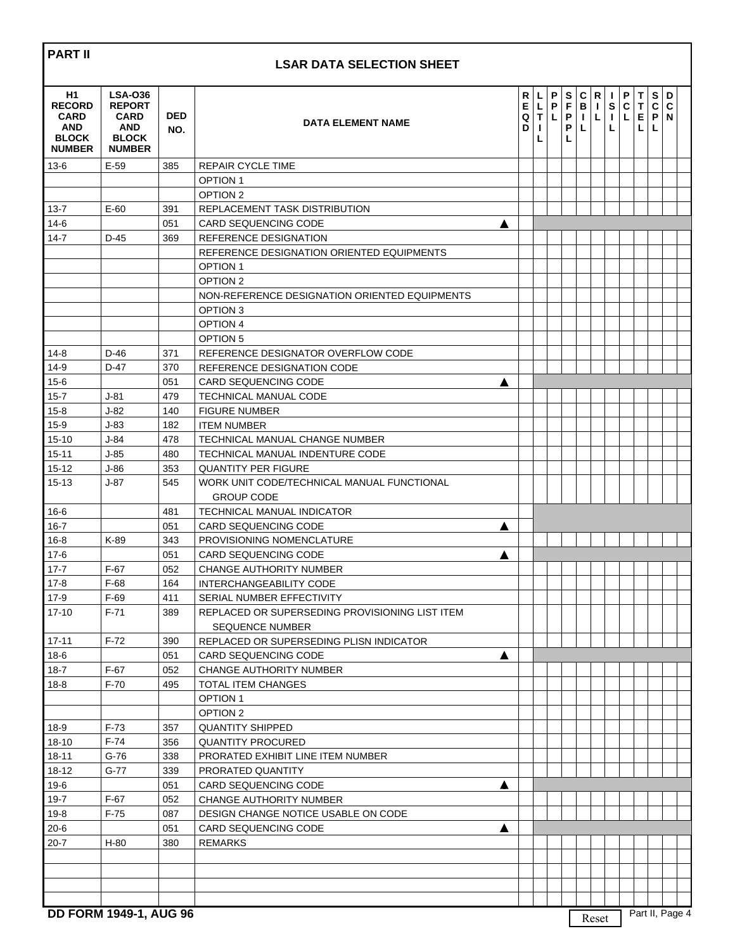| <b>PART II</b>                                                                    |                                                                                        |                   | <b>LSAR DATA SELECTION SHEET</b>                                         |   |                  |                                                       |                       |                       |                  |                                   |              |                        |                            |                             |             |  |
|-----------------------------------------------------------------------------------|----------------------------------------------------------------------------------------|-------------------|--------------------------------------------------------------------------|---|------------------|-------------------------------------------------------|-----------------------|-----------------------|------------------|-----------------------------------|--------------|------------------------|----------------------------|-----------------------------|-------------|--|
| H1<br><b>RECORD</b><br><b>CARD</b><br><b>AND</b><br><b>BLOCK</b><br><b>NUMBER</b> | <b>LSA-036</b><br><b>REPORT</b><br><b>CARD</b><br>AND<br><b>BLOCK</b><br><b>NUMBER</b> | <b>DED</b><br>NO. | <b>DATA ELEMENT NAME</b>                                                 |   | R<br>Е<br>Q<br>D | L.<br>$\mathsf L$<br>$\mathsf T$<br>$\mathbf{I}$<br>L | P<br>$\mathsf P$<br>L | S<br>F<br>P<br>Р<br>L | C<br>В<br>т<br>L | $\mathsf{R}$<br>$\mathbf{I}$<br>L | -1<br>S<br>L | P<br>$\mathbf c$<br>L. | T<br>$\mathsf T$<br>E<br>L | $\mathbf{s}$<br>C<br>P<br>L | D<br>C<br>N |  |
| 13-6                                                                              | $E-59$                                                                                 | 385               | <b>REPAIR CYCLE TIME</b>                                                 |   |                  |                                                       |                       |                       |                  |                                   |              |                        |                            |                             |             |  |
|                                                                                   |                                                                                        |                   | <b>OPTION 1</b>                                                          |   |                  |                                                       |                       |                       |                  |                                   |              |                        |                            |                             |             |  |
|                                                                                   |                                                                                        |                   | OPTION <sub>2</sub>                                                      |   |                  |                                                       |                       |                       |                  |                                   |              |                        |                            |                             |             |  |
| $13 - 7$                                                                          | $E-60$                                                                                 | 391               | REPLACEMENT TASK DISTRIBUTION                                            |   |                  |                                                       |                       |                       |                  |                                   |              |                        |                            |                             |             |  |
| $14-6$<br>$14 - 7$                                                                | $D-45$                                                                                 | 051<br>369        | <b>CARD SEQUENCING CODE</b><br>REFERENCE DESIGNATION                     | A |                  |                                                       |                       |                       |                  |                                   |              |                        |                            |                             |             |  |
|                                                                                   |                                                                                        |                   | REFERENCE DESIGNATION ORIENTED EQUIPMENTS                                |   |                  |                                                       |                       |                       |                  |                                   |              |                        |                            |                             |             |  |
|                                                                                   |                                                                                        |                   | <b>OPTION 1</b>                                                          |   |                  |                                                       |                       |                       |                  |                                   |              |                        |                            |                             |             |  |
|                                                                                   |                                                                                        |                   | OPTION 2                                                                 |   |                  |                                                       |                       |                       |                  |                                   |              |                        |                            |                             |             |  |
|                                                                                   |                                                                                        |                   | NON-REFERENCE DESIGNATION ORIENTED EQUIPMENTS                            |   |                  |                                                       |                       |                       |                  |                                   |              |                        |                            |                             |             |  |
|                                                                                   |                                                                                        |                   | OPTION 3                                                                 |   |                  |                                                       |                       |                       |                  |                                   |              |                        |                            |                             |             |  |
|                                                                                   |                                                                                        |                   | OPTION 4                                                                 |   |                  |                                                       |                       |                       |                  |                                   |              |                        |                            |                             |             |  |
|                                                                                   |                                                                                        |                   | OPTION 5                                                                 |   |                  |                                                       |                       |                       |                  |                                   |              |                        |                            |                             |             |  |
| 14-8                                                                              | $D-46$                                                                                 | 371               | REFERENCE DESIGNATOR OVERFLOW CODE                                       |   |                  |                                                       |                       |                       |                  |                                   |              |                        |                            |                             |             |  |
| $14-9$                                                                            | $D-47$                                                                                 | 370               | REFERENCE DESIGNATION CODE                                               |   |                  |                                                       |                       |                       |                  |                                   |              |                        |                            |                             |             |  |
| $15 - 6$                                                                          |                                                                                        | 051               | <b>CARD SEQUENCING CODE</b>                                              | A |                  |                                                       |                       |                       |                  |                                   |              |                        |                            |                             |             |  |
| $15 - 7$                                                                          | $J-81$                                                                                 | 479               | TECHNICAL MANUAL CODE                                                    |   |                  |                                                       |                       |                       |                  |                                   |              |                        |                            |                             |             |  |
| $15 - 8$                                                                          | $J-82$                                                                                 | 140               | <b>FIGURE NUMBER</b>                                                     |   |                  |                                                       |                       |                       |                  |                                   |              |                        |                            |                             |             |  |
| $15 - 9$                                                                          | $J-83$                                                                                 | 182               | <b>ITEM NUMBER</b>                                                       |   |                  |                                                       |                       |                       |                  |                                   |              |                        |                            |                             |             |  |
| $15 - 10$                                                                         | $J-84$                                                                                 | 478               | TECHNICAL MANUAL CHANGE NUMBER                                           |   |                  |                                                       |                       |                       |                  |                                   |              |                        |                            |                             |             |  |
| $15 - 11$                                                                         | $J-85$                                                                                 | 480               | TECHNICAL MANUAL INDENTURE CODE                                          |   |                  |                                                       |                       |                       |                  |                                   |              |                        |                            |                             |             |  |
| $15 - 12$                                                                         | $J-86$                                                                                 | 353               | <b>QUANTITY PER FIGURE</b>                                               |   |                  |                                                       |                       |                       |                  |                                   |              |                        |                            |                             |             |  |
| $15 - 13$                                                                         | J-87                                                                                   | 545               | WORK UNIT CODE/TECHNICAL MANUAL FUNCTIONAL                               |   |                  |                                                       |                       |                       |                  |                                   |              |                        |                            |                             |             |  |
|                                                                                   |                                                                                        |                   | <b>GROUP CODE</b>                                                        |   |                  |                                                       |                       |                       |                  |                                   |              |                        |                            |                             |             |  |
| $16 - 6$                                                                          |                                                                                        | 481               | TECHNICAL MANUAL INDICATOR                                               |   |                  |                                                       |                       |                       |                  |                                   |              |                        |                            |                             |             |  |
| $16 - 7$                                                                          |                                                                                        | 051               | <b>CARD SEQUENCING CODE</b>                                              | A |                  |                                                       |                       |                       |                  |                                   |              |                        |                            |                             |             |  |
| $16 - 8$<br>$17 - 6$                                                              | K-89                                                                                   | 343<br>051        | PROVISIONING NOMENCLATURE<br><b>CARD SEQUENCING CODE</b>                 |   |                  |                                                       |                       |                       |                  |                                   |              |                        |                            |                             |             |  |
| $17 - 7$                                                                          | $F-67$                                                                                 | 052               | <b>CHANGE AUTHORITY NUMBER</b>                                           | A |                  |                                                       |                       |                       |                  |                                   |              |                        |                            |                             |             |  |
| 17-8                                                                              | F-68                                                                                   | 164               | INTERCHANGEABILITY CODE                                                  |   |                  |                                                       |                       |                       |                  |                                   |              |                        |                            |                             |             |  |
| $17-9$                                                                            | $F-69$                                                                                 | 411               | SERIAL NUMBER EFFECTIVITY                                                |   |                  |                                                       |                       |                       |                  |                                   |              |                        |                            |                             |             |  |
| $17 - 10$                                                                         | F-71                                                                                   | 389               | REPLACED OR SUPERSEDING PROVISIONING LIST ITEM<br><b>SEQUENCE NUMBER</b> |   |                  |                                                       |                       |                       |                  |                                   |              |                        |                            |                             |             |  |
| $17 - 11$                                                                         | F-72                                                                                   | 390               | REPLACED OR SUPERSEDING PLISN INDICATOR                                  |   |                  |                                                       |                       |                       |                  |                                   |              |                        |                            |                             |             |  |
| $18-6$                                                                            |                                                                                        | 051               | <b>CARD SEQUENCING CODE</b>                                              | A |                  |                                                       |                       |                       |                  |                                   |              |                        |                            |                             |             |  |
| $18 - 7$                                                                          | $F-67$                                                                                 | 052               | <b>CHANGE AUTHORITY NUMBER</b>                                           |   |                  |                                                       |                       |                       |                  |                                   |              |                        |                            |                             |             |  |
| $18 - 8$                                                                          | F-70                                                                                   | 495               | <b>TOTAL ITEM CHANGES</b>                                                |   |                  |                                                       |                       |                       |                  |                                   |              |                        |                            |                             |             |  |
|                                                                                   |                                                                                        |                   | <b>OPTION 1</b>                                                          |   |                  |                                                       |                       |                       |                  |                                   |              |                        |                            |                             |             |  |
|                                                                                   |                                                                                        |                   | OPTION <sub>2</sub>                                                      |   |                  |                                                       |                       |                       |                  |                                   |              |                        |                            |                             |             |  |
| 18-9                                                                              | F-73                                                                                   | 357               | <b>QUANTITY SHIPPED</b>                                                  |   |                  |                                                       |                       |                       |                  |                                   |              |                        |                            |                             |             |  |
| $18 - 10$                                                                         | F-74                                                                                   | 356               | <b>QUANTITY PROCURED</b>                                                 |   |                  |                                                       |                       |                       |                  |                                   |              |                        |                            |                             |             |  |
| $18 - 11$                                                                         | $G-76$                                                                                 | 338               | PRORATED EXHIBIT LINE ITEM NUMBER                                        |   |                  |                                                       |                       |                       |                  |                                   |              |                        |                            |                             |             |  |
| 18-12                                                                             | $G-77$                                                                                 | 339               | PRORATED QUANTITY                                                        |   |                  |                                                       |                       |                       |                  |                                   |              |                        |                            |                             |             |  |
| $19-6$                                                                            |                                                                                        | 051               | <b>CARD SEQUENCING CODE</b>                                              | ▲ |                  |                                                       |                       |                       |                  |                                   |              |                        |                            |                             |             |  |
| $19 - 7$                                                                          | $F-67$                                                                                 | 052               | <b>CHANGE AUTHORITY NUMBER</b>                                           |   |                  |                                                       |                       |                       |                  |                                   |              |                        |                            |                             |             |  |
| $19 - 8$                                                                          | F-75                                                                                   | 087               | DESIGN CHANGE NOTICE USABLE ON CODE                                      |   |                  |                                                       |                       |                       |                  |                                   |              |                        |                            |                             |             |  |
| $20 - 6$<br>$20 - 7$                                                              | $H-80$                                                                                 | 051               | <b>CARD SEQUENCING CODE</b>                                              | ▲ |                  |                                                       |                       |                       |                  |                                   |              |                        |                            |                             |             |  |
|                                                                                   |                                                                                        | 380               | <b>REMARKS</b>                                                           |   |                  |                                                       |                       |                       |                  |                                   |              |                        |                            |                             |             |  |
|                                                                                   |                                                                                        |                   |                                                                          |   |                  |                                                       |                       |                       |                  |                                   |              |                        |                            |                             |             |  |
|                                                                                   |                                                                                        |                   |                                                                          |   |                  |                                                       |                       |                       |                  |                                   |              |                        |                            |                             |             |  |
|                                                                                   |                                                                                        |                   |                                                                          |   |                  |                                                       |                       |                       |                  |                                   |              |                        |                            |                             |             |  |
|                                                                                   | <b>DD FORM 1949-1, AUG 96</b>                                                          |                   |                                                                          |   |                  |                                                       |                       |                       |                  | Reset                             |              |                        |                            | Part II, Page 4             |             |  |